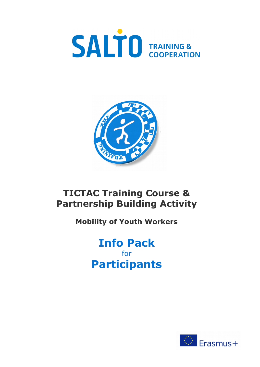



# **TICTAC Training Course & Partnership Building Activity**

## **Mobility of Youth Workers**

# **Info Pack** for **Participants**

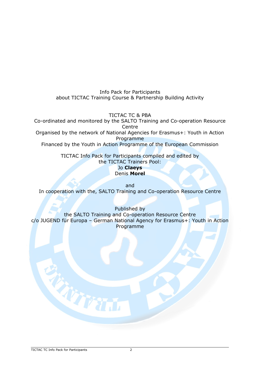Info Pack for Participants about TICTAC Training Course & Partnership Building Activity

TICTAC TC & PBA

Co-ordinated and monitored by the SALTO Training and Co-operation Resource **Centre** 

Organised by the network of National Agencies for Erasmus+: Youth in Action Programme

Financed by the Youth in Action Programme of the European Commission

TICTAC Info Pack for Participants compiled and edited by the TICTAC Trainers Pool: Jo **Claeys**

Denis **Morel**

and In cooperation with the, SALTO Training and Co-operation Resource Centre

Published by the SALTO Training and Co-operation Resource Centre c/o JUGEND für Europa – German National Agency for Erasmus+: Youth in Action Programme

THIT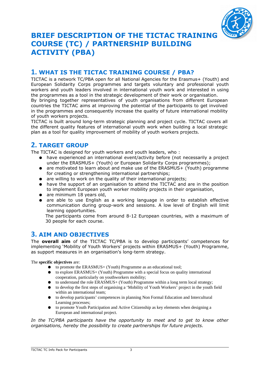

### **BRIEF DESCRIPTION OF THE TICTAC TRAINING COURSE (TC) / PARTNERSHIP BUILDING ACTIVITY (PBA)**

#### **1. WHAT IS THE TICTAC TRAINING COURSE / PBA?**

TICTAC is a network TC/PBA open for all National Agencies for the Erasmus+ (Youth) and European Solidarity Corps programmes and targets voluntary and professional youth workers and youth leaders involved in international youth work and interested in using the programmes as a tool in the strategic development of their work or organisation.

By bringing together representatives of youth organisations from different European countries the TICTAC aims at improving the potential of the participants to get involved in the programmes and consequently increase the quality of future international mobility of youth workers projects.

TICTAC is built around long-term strategic planning and project cycle. TICTAC covers all the different quality features of international youth work when building a local strategic plan as a tool for quality improvement of mobility of youth workers projects.

#### **2. TARGET GROUP**

The TICTAC is designed for youth workers and youth leaders, who :

- have experienced an international event/activity before (not necessarily a project under the ERASMUS+ (Youth) or European Solidarity Corps programmes);
- are motivated to learn about and make use of the ERASMUS+ (Youth) programme for creating or strengthening international partnerships;
- are willing to work on the quality of their international projects;
- have the support of an organisation to attend the TICTAC and are in the position to implement European youth worker mobility projects in their organisation,
- are minimum 18 years old,
- are able to use English as a working language in order to establish effective communication during group-work and sessions. A low level of English will limit learning opportunities.

The participants come from around 8-12 European countries, with a maximum of 30 people for each course.

#### **3. AIM AND OBJECTIVES**

The **overall aim** of the TICTAC TC/PBA is to develop participants' competences for implementing 'Mobility of Youth Workers' projects within ERASMUS+ (Youth) Programme, as support measures in an organisation's long-term strategy.

#### The **specific objectives** are:

- to promote the ERASMUS+ (Youth) Programme as an educational tool;
- to explore ERASMUS+ (Youth) Programme with a special focus on quality international cooperation, particularly on youthworkers mobility;
- to understand the role ERASMUS+ (Youth) Programme within a long term local strategy;
- to develop the first steps of organising a 'Mobility of Youth Workers' project in the youth field within an international team;
- to develop participants' competences in planning Non Formal Education and Intercultural Learning processes;
- to promote Youth Participation and Active Citizenship as key elements when designing a European and international project.

*In the TC/PBA participants have the opportunity to meet and to get to know other organisations, hereby the possibility to create partnerships for future projects.*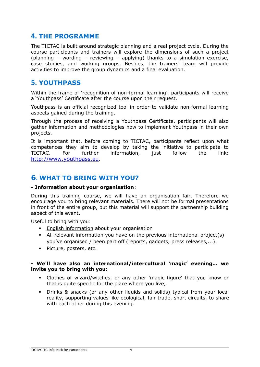#### **4. THE PROGRAMME**

The TICTAC is built around strategic planning and a real project cycle. During the course participants and trainers will explore the dimensions of such a project (planning – wording – reviewing – applying) thanks to a simulation exercise, case studies, and working groups. Besides, the trainers' team will provide activities to improve the group dynamics and a final evaluation.

#### **5. YOUTHPASS**

Within the frame of 'recognition of non-formal learning', participants will receive a 'Youthpass' Certificate after the course upon their request.

Youthpass is an official recognized tool in order to validate non-formal learning aspects gained during the training.

Through the process of receiving a Youthpass Certificate, participants will also gather information and methodologies how to implement Youthpass in their own projects.

It is important that, before coming to TICTAC, participants reflect upon what competences they aim to develop by taking the initiative to participate to TICTAC. For further information, just follow the link: [http://www.youthpass.eu](http://www.youthpass.eu/).

#### **6. WHAT TO BRING WITH YOU?**

#### **- Information about your organisation**:

During this training course, we will have an organisation fair. Therefore we encourage you to bring relevant materials. There will not be formal presentations in front of the entire group, but this material will support the partnership building aspect of this event.

Useful to bring with you:

- **English information about your organisation**
- All relevant information you have on the previous international project(s) you've organised / been part off (reports, gadgets, press releases,...).
- Picture, posters, etc.

#### **- We'll have also an international/intercultural 'magic' evening... we invite you to bring with you:**

- Clothes of wizard/witches, or any other 'magic figure' that you know or that is quite specific for the place where you live,
- Drinks & snacks (or any other liquids and solids) typical from your local reality, supporting values like ecological, fair trade, short circuits, to share with each other during this evening.